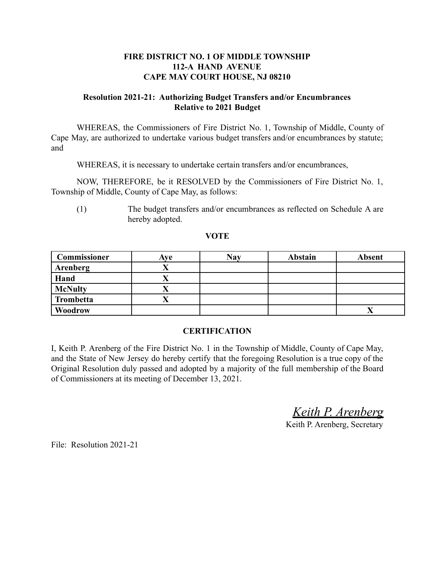# **FIRE DISTRICT NO. 1 OF MIDDLE TOWNSHIP 112-A HAND AVENUE CAPE MAY COURT HOUSE, NJ 08210**

## **Resolution 2021-21: Authorizing Budget Transfers and/or Encumbrances Relative to 2021 Budget**

WHEREAS, the Commissioners of Fire District No. 1, Township of Middle, County of Cape May, are authorized to undertake various budget transfers and/or encumbrances by statute; and

WHEREAS, it is necessary to undertake certain transfers and/or encumbrances,

NOW, THEREFORE, be it RESOLVED by the Commissioners of Fire District No. 1, Township of Middle, County of Cape May, as follows:

(1) The budget transfers and/or encumbrances as reflected on Schedule A are hereby adopted.

#### **VOTE**

| <b>Commissioner</b> | Ave | <b>Nay</b> | <b>Abstain</b> | <b>Absent</b> |
|---------------------|-----|------------|----------------|---------------|
| Arenberg            |     |            |                |               |
| Hand                |     |            |                |               |
| <b>McNulty</b>      | Λ   |            |                |               |
| <b>Trombetta</b>    |     |            |                |               |
| Woodrow             |     |            |                |               |

#### **CERTIFICATION**

I, Keith P. Arenberg of the Fire District No. 1 in the Township of Middle, County of Cape May, and the State of New Jersey do hereby certify that the foregoing Resolution is a true copy of the Original Resolution duly passed and adopted by a majority of the full membership of the Board of Commissioners at its meeting of December 13, 2021.

*Keith P. Arenberg*

Keith P. Arenberg, Secretary

File: Resolution 2021-21